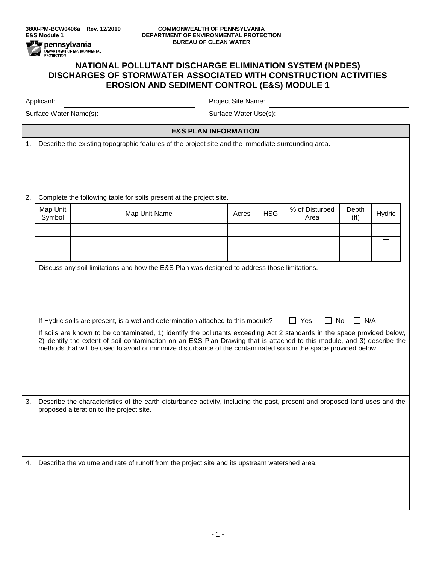

## **3800-PM-BCW0406a Rev. 12/2019 COMMONWEALTH OF PENNSYLVANIA DEPARTMENT OF ENVIRONMENTAL PROTECTION BUREAU OF CLEAN WATER**

## **NATIONAL POLLUTANT DISCHARGE ELIMINATION SYSTEM (NPDES) DISCHARGES OF STORMWATER ASSOCIATED WITH CONSTRUCTION ACTIVITIES EROSION AND SEDIMENT CONTROL (E&S) MODULE 1**

Applicant: Project Site Name:

Surface Water Name(s): Surface Water Use(s):

**E&S PLAN INFORMATION**

1. Describe the existing topographic features of the project site and the immediate surrounding area.

2. Complete the following table for soils present at the project site. Map Unit Map Unit | Map Unit Name | Acres | HSG | <sup>% of Disturbed</sup><br>Symbol | Acres | HSG | <sup>% of Disturbed</sup> Depth  $(ft)$  Hydric Area  $\Box$  $\Box$  $\Box$ Discuss any soil limitations and how the E&S Plan was designed to address those limitations. If Hydric soils are present, is a wetland determination attached to this module?  $\Box$  Yes  $\Box$  No  $\Box$  N/A If soils are known to be contaminated, 1) identify the pollutants exceeding Act 2 standards in the space provided below, 2) identify the extent of soil contamination on an E&S Plan Drawing that is attached to this module, and 3) describe the methods that will be used to avoid or minimize disturbance of the contaminated soils in the space provided below. 3. Describe the characteristics of the earth disturbance activity, including the past, present and proposed land uses and the proposed alteration to the project site. 4. Describe the volume and rate of runoff from the project site and its upstream watershed area.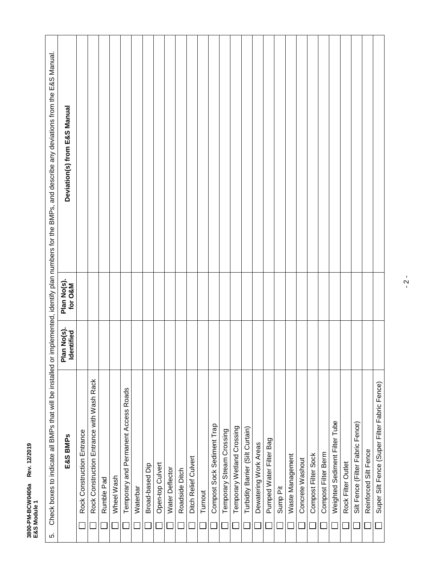| Š<br>Rev<br> |   |
|--------------|---|
| i            | ă |

| Check boxes to indicate all BMPs that will be installed or<br>ιó. |                          |                        | implemented, identify plan numbers for the BMPs, and describe any deviations from the E&S Manual. |
|-------------------------------------------------------------------|--------------------------|------------------------|---------------------------------------------------------------------------------------------------|
| E&S BMPs                                                          | Plan No(s)<br>Identified | Plan No(s).<br>for O&M | Deviation(s) from E&S Manual                                                                      |
| Rock Construction Entrance                                        |                          |                        |                                                                                                   |
| Rock Construction Entrance with Wash Rack                         |                          |                        |                                                                                                   |
| Rumble Pad                                                        |                          |                        |                                                                                                   |
| Wheel Wash                                                        |                          |                        |                                                                                                   |
| Temporary and Permanent Access Roads                              |                          |                        |                                                                                                   |
| Waterbar                                                          |                          |                        |                                                                                                   |
| Broad-based Dip                                                   |                          |                        |                                                                                                   |
| Open-top Culvert                                                  |                          |                        |                                                                                                   |
| Water Deflector                                                   |                          |                        |                                                                                                   |
| Roadside Ditch                                                    |                          |                        |                                                                                                   |
| Ditch Relief Culvert                                              |                          |                        |                                                                                                   |
| Turnout                                                           |                          |                        |                                                                                                   |
| Compost Sock Sediment Trap                                        |                          |                        |                                                                                                   |
| Temporary Stream Crossing                                         |                          |                        |                                                                                                   |
| Temporary Wetland Crossing                                        |                          |                        |                                                                                                   |
| Turbidity Barrier (Silt Curtain)                                  |                          |                        |                                                                                                   |
| Dewatering Work Areas                                             |                          |                        |                                                                                                   |
| Pumped Water Filter Bag                                           |                          |                        |                                                                                                   |
| Sump Pit                                                          |                          |                        |                                                                                                   |
| Waste Management                                                  |                          |                        |                                                                                                   |
| Concrete Washout                                                  |                          |                        |                                                                                                   |
| Compost Filter Sock                                               |                          |                        |                                                                                                   |
| Compost Filter Berm                                               |                          |                        |                                                                                                   |
| Weighted Sediment Filter Tube                                     |                          |                        |                                                                                                   |
| Rock Filter Outlet                                                |                          |                        |                                                                                                   |
| Silt Fence (Filter Fabric Fence)                                  |                          |                        |                                                                                                   |
| Reinforced Silt Fence                                             |                          |                        |                                                                                                   |
| Super Silt Fence (Super Filter Fabric Fence)                      |                          |                        |                                                                                                   |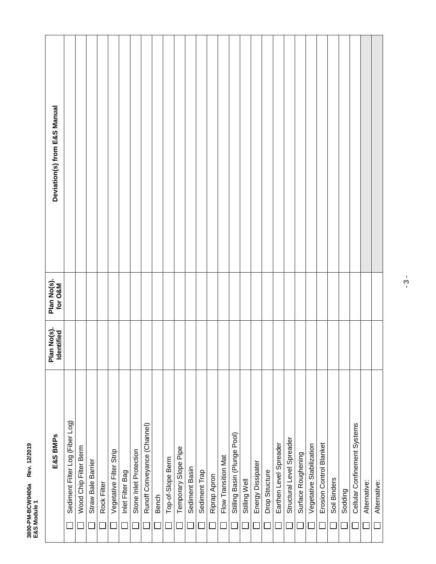## 3800-PM-BCW0406a Rev. 12/2019<br>E&S Module 1 **3800-PM-BCW0406a Rev. 12/2019 E&S Module 1**

| E&S BMPs                        | Plan No(s).<br>Identified | Plan No(s).<br>for O&M | Deviation(s) from E&S Manual |
|---------------------------------|---------------------------|------------------------|------------------------------|
| Sediment Filter Log (Fiber Log) |                           |                        |                              |
| Wood Chip Filter Berm           |                           |                        |                              |
| Straw Bale Barrier              |                           |                        |                              |
| Rock Filter                     |                           |                        |                              |
| Vegetative Filter Strip         |                           |                        |                              |
| Inlet Filter Bag                |                           |                        |                              |
| Stone Inlet Protection          |                           |                        |                              |
| Runoff Conveyance (Channel)     |                           |                        |                              |
| Bench                           |                           |                        |                              |
| Top-of-Slope Berm               |                           |                        |                              |
| Temporary Slope Pipe            |                           |                        |                              |
| Sediment Basin                  |                           |                        |                              |
| Sediment Trap                   |                           |                        |                              |
| Riprap Apron                    |                           |                        |                              |
| Flow Transition Mat             |                           |                        |                              |
| Stilling Basin (Plunge Pool)    |                           |                        |                              |
| Stilling Well                   |                           |                        |                              |
| Energy Dissipater<br>$\Box$     |                           |                        |                              |
| Drop Structure                  |                           |                        |                              |
| Earthen Level Spreader          |                           |                        |                              |
| Structural Level Spreader       |                           |                        |                              |
| Surface Roughening              |                           |                        |                              |
| Vegetative Stabilization        |                           |                        |                              |
| Erosion Control Blanket         |                           |                        |                              |
| Soil Binders                    |                           |                        |                              |
| Sodding                         |                           |                        |                              |
| Cellular Confinement Systems    |                           |                        |                              |
| Alternative:                    |                           |                        |                              |
| Alternative:<br>$\Box$          |                           |                        |                              |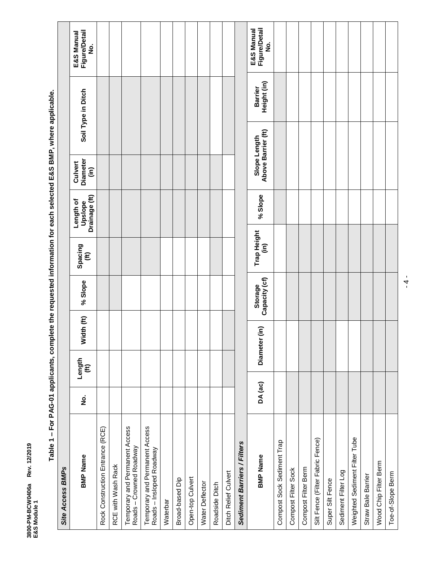3800-PM-BCW0406a Rev. 12/2019<br>E&S Module 1 **3800-PM-BCW0406a Rev. 12/2019 E&S Module 1**

|                  | <b>Figure/Detail</b><br>E&S Manual<br>ġ |                                  |                    |                                                           |                                                            |          |                 |                  |                 |                |                      |                             | <b>Figure/Detail</b><br>E&S Manual<br>ş |                            |                     |                     |                                  |                  |                     |                               |                    |                       |
|------------------|-----------------------------------------|----------------------------------|--------------------|-----------------------------------------------------------|------------------------------------------------------------|----------|-----------------|------------------|-----------------|----------------|----------------------|-----------------------------|-----------------------------------------|----------------------------|---------------------|---------------------|----------------------------------|------------------|---------------------|-------------------------------|--------------------|-----------------------|
|                  | Soil Type in Ditch                      |                                  |                    |                                                           |                                                            |          |                 |                  |                 |                |                      |                             | Height (in)<br><b>Barrier</b>           |                            |                     |                     |                                  |                  |                     |                               |                    |                       |
|                  |                                         |                                  |                    |                                                           |                                                            |          |                 |                  |                 |                |                      |                             |                                         |                            |                     |                     |                                  |                  |                     |                               |                    |                       |
|                  | Diameter<br>Culvert<br>(in)             |                                  |                    |                                                           |                                                            |          |                 |                  |                 |                |                      |                             | Above Barrier (ft)<br>Slope Length      |                            |                     |                     |                                  |                  |                     |                               |                    |                       |
|                  | Drainage (ft)<br>Length of<br>Upslope   |                                  |                    |                                                           |                                                            |          |                 |                  |                 |                |                      |                             | % Slope                                 |                            |                     |                     |                                  |                  |                     |                               |                    |                       |
|                  | Spacing<br>$\widehat{\mathbf{f}}$       |                                  |                    |                                                           |                                                            |          |                 |                  |                 |                |                      |                             | Trap Height<br>(in)                     |                            |                     |                     |                                  |                  |                     |                               |                    |                       |
|                  | % Slope                                 |                                  |                    |                                                           |                                                            |          |                 |                  |                 |                |                      |                             |                                         |                            |                     |                     |                                  |                  |                     |                               |                    |                       |
|                  |                                         |                                  |                    |                                                           |                                                            |          |                 |                  |                 |                |                      |                             | Capacity (cf)<br>Storage                |                            |                     |                     |                                  |                  |                     |                               |                    |                       |
|                  | Width (ft)                              |                                  |                    |                                                           |                                                            |          |                 |                  |                 |                |                      |                             | ίm)                                     |                            |                     |                     |                                  |                  |                     |                               |                    |                       |
|                  | Length<br>$\widehat{\mathbf{f}}$        |                                  |                    |                                                           |                                                            |          |                 |                  |                 |                |                      |                             | Diameter                                |                            |                     |                     |                                  |                  |                     |                               |                    |                       |
|                  | <u>ş</u>                                |                                  |                    |                                                           |                                                            |          |                 |                  |                 |                |                      |                             | DA (ac)                                 |                            |                     |                     |                                  |                  |                     |                               |                    |                       |
| Site Access BMPs | <b>BMP Name</b>                         | Rock Construction Entrance (RCE) | RCE with Wash Rack | Temporary and Permanent Access<br>Roads - Crowned Roadway | Temporary and Permanent Access<br>Roads - Insloped Roadway | Waterbar | Broad-based Dip | Open-top Culvert | Water Deflector | Roadside Ditch | Ditch Relief Culvert | Sediment Barriers / Filters | <b>BMP Name</b>                         | Compost Sock Sediment Trap | Compost Filter Sock | Compost Filter Berm | Silt Fence (Filter Fabric Fence) | Super Silt Fence | Sediment Filter Log | Weighted Sediment Filter Tube | Straw Bale Barrier | Wood Chip Filter Berm |

Table 1 - For PAG-01 applicants, complete the requested information for each selected E&S BMP, where applicable. **Table 1 – For PAG-01 applicants, complete the requested information for each selected E&S BMP, where applicable.**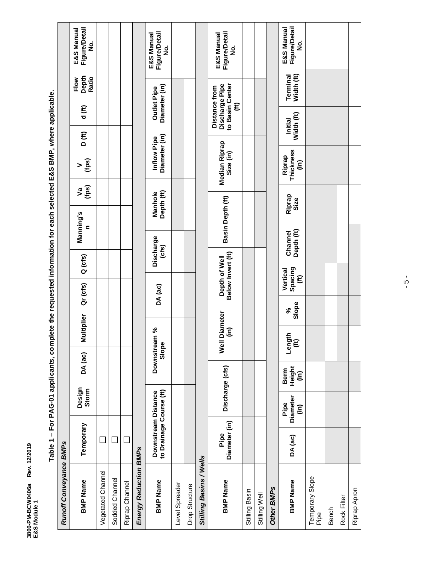3800-PM-BCW0406a Rev. 12/2019<br>E&S Module 1 **3800-PM-BCW0406a Rev. 12/2019 E&S Module 1**

| <b>Runoff Conveyance BMPs</b> |                                                   |                                                 |                                        |                                |                   |                                               |                                    |                       |                       |                                |                              |                                                                              |                        |                                                     |
|-------------------------------|---------------------------------------------------|-------------------------------------------------|----------------------------------------|--------------------------------|-------------------|-----------------------------------------------|------------------------------------|-----------------------|-----------------------|--------------------------------|------------------------------|------------------------------------------------------------------------------|------------------------|-----------------------------------------------------|
| <b>BMP Name</b>               | Temporary                                         | Design<br>Storm                                 | DA (ac)                                |                                | <b>Multiplier</b> | Qr (cfs)                                      | Q (cfs)                            | Manning's<br>c        |                       | (fps)<br>$\geq$<br>(fps)<br>۵q | D (f)                        | d (f)                                                                        | Depth<br>Ratio<br>Flow | <b>Figure/Detail</b><br>E&S Manual<br><u>ہ</u><br>2 |
| Vegetated Channel             |                                                   |                                                 |                                        |                                |                   |                                               |                                    |                       |                       |                                |                              |                                                                              |                        |                                                     |
| Sodded Channel                |                                                   |                                                 |                                        |                                |                   |                                               |                                    |                       |                       |                                |                              |                                                                              |                        |                                                     |
| Riprap Channel                |                                                   |                                                 |                                        |                                |                   |                                               |                                    |                       |                       |                                |                              |                                                                              |                        |                                                     |
| Energy Reduction BMPs         |                                                   |                                                 |                                        |                                |                   |                                               |                                    |                       |                       |                                |                              |                                                                              |                        |                                                     |
| <b>BMP Name</b>               | to Drainage Course (ft)<br>Downstream<br>Distance |                                                 |                                        | Downstream %<br>Slope          |                   | DA (ac)                                       | Discharge<br>(cfs)                 |                       | Depth (ft)<br>Manhole |                                | Diameter (in)<br>Inflow Pipe | Diameter (in)<br><b>Outlet Pipe</b>                                          |                        | <b>Figure/Detail</b><br>E&S Manual<br><u>ہ</u><br>2 |
| Level Spreader                |                                                   |                                                 |                                        |                                |                   |                                               |                                    |                       |                       |                                |                              |                                                                              |                        |                                                     |
| Drop Structure                |                                                   |                                                 |                                        |                                |                   |                                               |                                    |                       |                       |                                |                              |                                                                              |                        |                                                     |
| Stilling Basins / Wells       |                                                   |                                                 |                                        |                                |                   |                                               |                                    |                       |                       |                                |                              |                                                                              |                        |                                                     |
| <b>BMP Name</b>               | Diameter (in)<br>Pipe                             | Discharge (cfs)                                 |                                        | ίm<br>Well                     | <b>Diameter</b>   |                                               | Below Invert (ft)<br>Depth of Well |                       | Basin Depth (ft)      | Median Riprap<br>Size (in)     |                              | to Basin Center<br>Discharge Pipe<br>Distance from<br>$\widehat{\mathbf{f}}$ |                        | <b>Figure/Detail</b><br>E&S Manual<br>o<br>Z        |
| Stilling Basin                |                                                   |                                                 |                                        |                                |                   |                                               |                                    |                       |                       |                                |                              |                                                                              |                        |                                                     |
| Stilling Well                 |                                                   |                                                 |                                        |                                |                   |                                               |                                    |                       |                       |                                |                              |                                                                              |                        |                                                     |
| Other BMPs                    |                                                   |                                                 |                                        |                                |                   |                                               |                                    |                       |                       |                                |                              |                                                                              |                        |                                                     |
| <b>BMP Name</b>               | DA (ac)                                           | <b>Diameter</b><br>Pipe<br>$\widehat{\epsilon}$ | Height<br>Berm<br>$\widehat{\epsilon}$ | Length<br>$\widehat{\epsilon}$ | Slope<br>వ్       | Spacing<br>Vertical<br>$\widehat{\mathbf{f}}$ |                                    | Depth (ft)<br>Channel | Riprap<br>Size        | Thickness<br>Riprap<br>(in)    |                              | Width (ft)<br>Initial                                                        | Width (ft)<br>Terminal | <b>Figure/Detail</b><br>E&S Manual<br>ş             |
| Temporary Slope<br>Pipe       |                                                   |                                                 |                                        |                                |                   |                                               |                                    |                       |                       |                                |                              |                                                                              |                        |                                                     |
| Bench                         |                                                   |                                                 |                                        |                                |                   |                                               |                                    |                       |                       |                                |                              |                                                                              |                        |                                                     |
| Rock Filter                   |                                                   |                                                 |                                        |                                |                   |                                               |                                    |                       |                       |                                |                              |                                                                              |                        |                                                     |
| Riprap Apron                  |                                                   |                                                 |                                        |                                |                   |                                               |                                    |                       |                       |                                |                              |                                                                              |                        |                                                     |

Table 1 - For PAG-01 applicants, complete the requested information for each selected E&S BMP, where applicable. **Table 1 – For PAG-01 applicants, complete the requested information for each selected E&S BMP, where applicable.**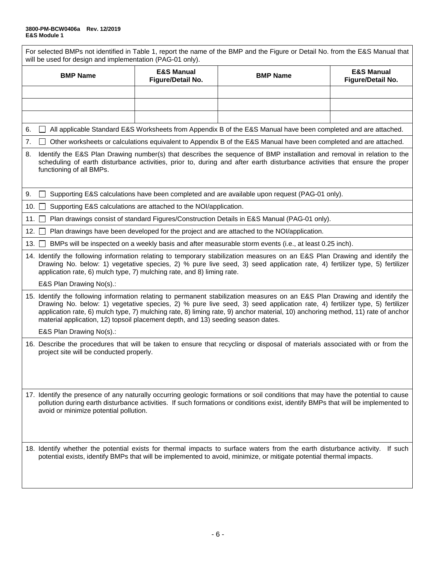| For selected BMPs not identified in Table 1, report the name of the BMP and the Figure or Detail No. from the E&S Manual that<br>will be used for design and implementation (PAG-01 only).                                                                                                                                                                                                                                                                                       |                                                                                                                                                                          |                                                                                                                                                                                                                                                                      |                                            |  |  |  |  |  |  |
|----------------------------------------------------------------------------------------------------------------------------------------------------------------------------------------------------------------------------------------------------------------------------------------------------------------------------------------------------------------------------------------------------------------------------------------------------------------------------------|--------------------------------------------------------------------------------------------------------------------------------------------------------------------------|----------------------------------------------------------------------------------------------------------------------------------------------------------------------------------------------------------------------------------------------------------------------|--------------------------------------------|--|--|--|--|--|--|
| <b>BMP Name</b>                                                                                                                                                                                                                                                                                                                                                                                                                                                                  | <b>E&amp;S Manual</b><br>Figure/Detail No.                                                                                                                               | <b>BMP Name</b>                                                                                                                                                                                                                                                      | <b>E&amp;S Manual</b><br>Figure/Detail No. |  |  |  |  |  |  |
|                                                                                                                                                                                                                                                                                                                                                                                                                                                                                  |                                                                                                                                                                          |                                                                                                                                                                                                                                                                      |                                            |  |  |  |  |  |  |
|                                                                                                                                                                                                                                                                                                                                                                                                                                                                                  |                                                                                                                                                                          |                                                                                                                                                                                                                                                                      |                                            |  |  |  |  |  |  |
|                                                                                                                                                                                                                                                                                                                                                                                                                                                                                  |                                                                                                                                                                          |                                                                                                                                                                                                                                                                      |                                            |  |  |  |  |  |  |
| 6.                                                                                                                                                                                                                                                                                                                                                                                                                                                                               |                                                                                                                                                                          | All applicable Standard E&S Worksheets from Appendix B of the E&S Manual have been completed and are attached.                                                                                                                                                       |                                            |  |  |  |  |  |  |
| 7.                                                                                                                                                                                                                                                                                                                                                                                                                                                                               |                                                                                                                                                                          | Other worksheets or calculations equivalent to Appendix B of the E&S Manual have been completed and are attached.                                                                                                                                                    |                                            |  |  |  |  |  |  |
| 8.<br>functioning of all BMPs.                                                                                                                                                                                                                                                                                                                                                                                                                                                   |                                                                                                                                                                          | Identify the E&S Plan Drawing number(s) that describes the sequence of BMP installation and removal in relation to the<br>scheduling of earth disturbance activities, prior to, during and after earth disturbance activities that ensure the proper                 |                                            |  |  |  |  |  |  |
| 9.                                                                                                                                                                                                                                                                                                                                                                                                                                                                               |                                                                                                                                                                          | Supporting E&S calculations have been completed and are available upon request (PAG-01 only).                                                                                                                                                                        |                                            |  |  |  |  |  |  |
| 10. $\square$                                                                                                                                                                                                                                                                                                                                                                                                                                                                    | Supporting E&S calculations are attached to the NOI/application.                                                                                                         |                                                                                                                                                                                                                                                                      |                                            |  |  |  |  |  |  |
| 11.1                                                                                                                                                                                                                                                                                                                                                                                                                                                                             | Plan drawings consist of standard Figures/Construction Details in E&S Manual (PAG-01 only).                                                                              |                                                                                                                                                                                                                                                                      |                                            |  |  |  |  |  |  |
| 12.                                                                                                                                                                                                                                                                                                                                                                                                                                                                              |                                                                                                                                                                          | Plan drawings have been developed for the project and are attached to the NOI/application.                                                                                                                                                                           |                                            |  |  |  |  |  |  |
| 13.                                                                                                                                                                                                                                                                                                                                                                                                                                                                              |                                                                                                                                                                          | BMPs will be inspected on a weekly basis and after measurable storm events (i.e., at least 0.25 inch).                                                                                                                                                               |                                            |  |  |  |  |  |  |
| application rate, 6) mulch type, 7) mulching rate, and 8) liming rate.                                                                                                                                                                                                                                                                                                                                                                                                           |                                                                                                                                                                          | 14. Identify the following information relating to temporary stabilization measures on an E&S Plan Drawing and identify the<br>Drawing No. below: 1) vegetative species, 2) % pure live seed, 3) seed application rate, 4) fertilizer type, 5) fertilizer            |                                            |  |  |  |  |  |  |
| E&S Plan Drawing No(s).:                                                                                                                                                                                                                                                                                                                                                                                                                                                         |                                                                                                                                                                          |                                                                                                                                                                                                                                                                      |                                            |  |  |  |  |  |  |
| 15. Identify the following information relating to permanent stabilization measures on an E&S Plan Drawing and identify the<br>Drawing No. below: 1) vegetative species, 2) % pure live seed, 3) seed application rate, 4) fertilizer type, 5) fertilizer<br>application rate, 6) mulch type, 7) mulching rate, 8) liming rate, 9) anchor material, 10) anchoring method, 11) rate of anchor<br>material application, 12) topsoil placement depth, and 13) seeding season dates. |                                                                                                                                                                          |                                                                                                                                                                                                                                                                      |                                            |  |  |  |  |  |  |
| E&S Plan Drawing No(s).:                                                                                                                                                                                                                                                                                                                                                                                                                                                         |                                                                                                                                                                          |                                                                                                                                                                                                                                                                      |                                            |  |  |  |  |  |  |
|                                                                                                                                                                                                                                                                                                                                                                                                                                                                                  | 16. Describe the procedures that will be taken to ensure that recycling or disposal of materials associated with or from the<br>project site will be conducted properly. |                                                                                                                                                                                                                                                                      |                                            |  |  |  |  |  |  |
| avoid or minimize potential pollution.                                                                                                                                                                                                                                                                                                                                                                                                                                           |                                                                                                                                                                          | 17. Identify the presence of any naturally occurring geologic formations or soil conditions that may have the potential to cause<br>pollution during earth disturbance activities. If such formations or conditions exist, identify BMPs that will be implemented to |                                            |  |  |  |  |  |  |
|                                                                                                                                                                                                                                                                                                                                                                                                                                                                                  |                                                                                                                                                                          | 18. Identify whether the potential exists for thermal impacts to surface waters from the earth disturbance activity.<br>potential exists, identify BMPs that will be implemented to avoid, minimize, or mitigate potential thermal impacts.                          | If such                                    |  |  |  |  |  |  |